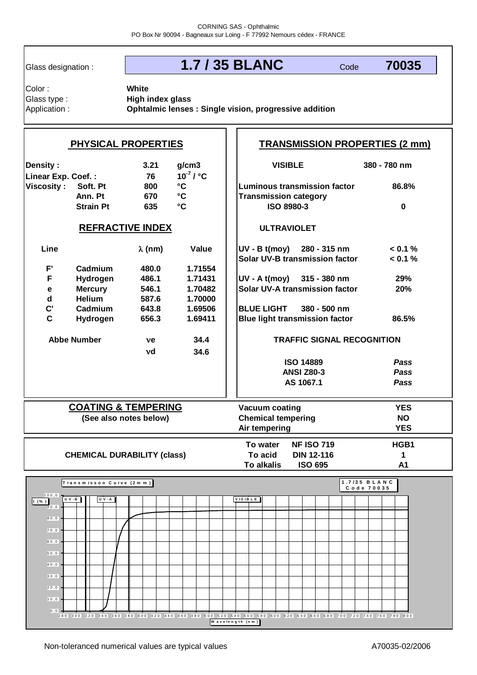Glass designation :

**White**

# **1.7 / 35 BLANC**

Code **70035**

Glass type : Color :

Application : **Ophtalmic lenses : Single vision, progressive addition High index glass**

| <b>PHYSICAL PROPERTIES</b>                                                |                                                                       |                |         |                                            | <b>TRANSMISSION PROPERTIES (2 mm)</b>                        |                    |                                   |                            |  |  |                     |  |  |  |
|---------------------------------------------------------------------------|-----------------------------------------------------------------------|----------------|---------|--------------------------------------------|--------------------------------------------------------------|--------------------|-----------------------------------|----------------------------|--|--|---------------------|--|--|--|
| <b>Density:</b>                                                           | 3.21<br>g/cm3<br>$10^{-7}$ / $^{\circ}$ C<br>Linear Exp. Coef.:<br>76 |                |         |                                            | <b>VISIBLE</b>                                               |                    |                                   |                            |  |  | 380 - 780 nm        |  |  |  |
| $^{\circ}{\rm C}$<br><b>Viscosity:</b><br>Soft. Pt<br>800<br>$\mathbf{C}$ |                                                                       |                |         |                                            | <b>Luminous transmission factor</b>                          |                    |                                   |                            |  |  | 86.8%               |  |  |  |
| Ann. Pt<br>670<br>$\mathbf{C}$<br><b>Strain Pt</b><br>635                 |                                                                       |                |         | <b>Transmission category</b><br>ISO 8980-3 |                                                              |                    |                                   |                            |  |  | $\mathbf 0$         |  |  |  |
| <b>REFRACTIVE INDEX</b>                                                   |                                                                       |                |         |                                            |                                                              | <b>ULTRAVIOLET</b> |                                   |                            |  |  |                     |  |  |  |
| Line                                                                      |                                                                       | $\lambda$ (nm) | Value   |                                            | UV - B t(moy) 280 - 315 nm<br>Solar UV-B transmission factor |                    |                                   |                            |  |  | < 0.1 %<br>< 0.1 %  |  |  |  |
| $\mathsf{F}^{\prime}$                                                     | Cadmium                                                               | 480.0          | 1.71554 |                                            |                                                              |                    |                                   |                            |  |  |                     |  |  |  |
| F                                                                         | Hydrogen                                                              | 486.1          | 1.71431 |                                            | UV - A t(moy) 315 - 380 nm                                   |                    |                                   |                            |  |  | 29%                 |  |  |  |
| $\mathbf e$                                                               | <b>Mercury</b>                                                        | 546.1          | 1.70482 |                                            | <b>Solar UV-A transmission factor</b>                        |                    |                                   |                            |  |  | 20%                 |  |  |  |
| $\mathbf d$                                                               | <b>Helium</b>                                                         | 587.6          | 1.70000 |                                            |                                                              |                    |                                   |                            |  |  |                     |  |  |  |
| $\mathbf{C}^{\prime}$                                                     | Cadmium                                                               | 643.8          | 1.69506 |                                            | <b>BLUE LIGHT</b><br>380 - 500 nm                            |                    |                                   |                            |  |  |                     |  |  |  |
| $\mathbf{C}$                                                              | Hydrogen                                                              | 656.3          | 1.69411 |                                            | <b>Blue light transmission factor</b>                        |                    |                                   |                            |  |  | 86.5%               |  |  |  |
| <b>Abbe Number</b><br>34.4<br>ve                                          |                                                                       |                |         |                                            |                                                              |                    | <b>TRAFFIC SIGNAL RECOGNITION</b> |                            |  |  |                     |  |  |  |
| 34.6<br>vd                                                                |                                                                       |                |         |                                            | <b>ISO 14889</b>                                             |                    |                                   |                            |  |  |                     |  |  |  |
|                                                                           |                                                                       |                |         | <b>ANSI Z80-3</b>                          |                                                              |                    |                                   |                            |  |  | <b>Pass</b><br>Pass |  |  |  |
|                                                                           |                                                                       |                |         |                                            | AS 1067.1                                                    |                    |                                   |                            |  |  | Pass                |  |  |  |
|                                                                           |                                                                       |                |         |                                            |                                                              |                    |                                   |                            |  |  |                     |  |  |  |
| <b>COATING &amp; TEMPERING</b>                                            |                                                                       |                |         |                                            | Vacuum coating                                               |                    |                                   |                            |  |  | <b>YES</b>          |  |  |  |
| (See also notes below)                                                    |                                                                       |                |         |                                            | <b>Chemical tempering</b>                                    |                    |                                   |                            |  |  | <b>NO</b>           |  |  |  |
|                                                                           |                                                                       |                |         |                                            | Air tempering                                                |                    |                                   |                            |  |  | <b>YES</b>          |  |  |  |
|                                                                           |                                                                       |                |         |                                            | <b>NF ISO 719</b><br>To water                                |                    |                                   |                            |  |  | HGB1                |  |  |  |
| <b>CHEMICAL DURABILITY (class)</b>                                        |                                                                       |                |         |                                            | To acid<br><b>DIN 12-116</b>                                 |                    |                                   |                            |  |  | 1                   |  |  |  |
|                                                                           |                                                                       |                |         |                                            |                                                              | <b>To alkalis</b>  | <b>ISO 695</b>                    |                            |  |  | A1                  |  |  |  |
|                                                                           | Transmisson Curve (2mm)                                               |                |         |                                            |                                                              |                    |                                   | 1.7/35 BLANC<br>Code 70035 |  |  |                     |  |  |  |
| 100,0<br>( % )                                                            | $UV-B$<br>UV-A                                                        |                |         |                                            | <b>VISIBLE</b>                                               |                    |                                   |                            |  |  |                     |  |  |  |
| $\overline{9}0.0$                                                         |                                                                       |                |         |                                            |                                                              |                    |                                   |                            |  |  |                     |  |  |  |
| 80,0                                                                      |                                                                       |                |         |                                            |                                                              |                    |                                   |                            |  |  |                     |  |  |  |
| 70,0                                                                      |                                                                       |                |         |                                            |                                                              |                    |                                   |                            |  |  |                     |  |  |  |
| 60,0                                                                      |                                                                       |                |         |                                            |                                                              |                    |                                   |                            |  |  |                     |  |  |  |
| $50,0$                                                                    |                                                                       |                |         |                                            |                                                              |                    |                                   |                            |  |  |                     |  |  |  |
| 40,0                                                                      |                                                                       |                |         |                                            |                                                              |                    |                                   |                            |  |  |                     |  |  |  |
| 30,0                                                                      |                                                                       |                |         |                                            |                                                              |                    |                                   |                            |  |  |                     |  |  |  |
| 20,0                                                                      |                                                                       |                |         |                                            |                                                              |                    |                                   |                            |  |  |                     |  |  |  |
| $\vert 10, 0 \rangle$                                                     |                                                                       |                |         |                                            |                                                              |                    |                                   |                            |  |  |                     |  |  |  |
| 0, 0                                                                      |                                                                       |                |         |                                            |                                                              |                    |                                   |                            |  |  |                     |  |  |  |

280 300 320 340 360 380 400 420 440 460 480 500 520 540 560 580 600 620 640 660 680 700 720 740 760 780 800 **W a v e le n g th (n m )**